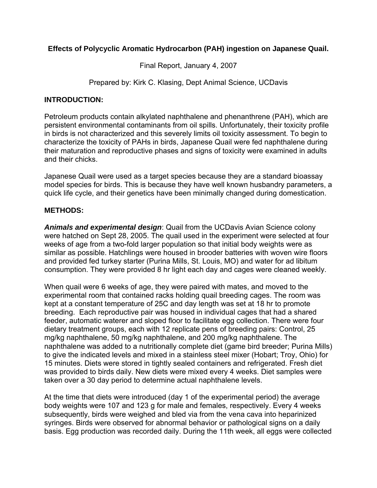# **Effects of Polycyclic Aromatic Hydrocarbon (PAH) ingestion on Japanese Quail.**

Final Report, January 4, 2007

Prepared by: Kirk C. Klasing, Dept Animal Science, UCDavis

## **INTRODUCTION:**

Petroleum products contain alkylated naphthalene and phenanthrene (PAH), which are persistent environmental contaminants from oil spills. Unfortunately, their toxicity profile in birds is not characterized and this severely limits oil toxicity assessment. To begin to characterize the toxicity of PAHs in birds, Japanese Quail were fed naphthalene during their maturation and reproductive phases and signs of toxicity were examined in adults and their chicks.

Japanese Quail were used as a target species because they are a standard bioassay model species for birds. This is because they have well known husbandry parameters, a quick life cycle, and their genetics have been minimally changed during domestication.

## **METHODS:**

*Animals and experimental design*: Quail from the UCDavis Avian Science colony were hatched on Sept 28, 2005. The quail used in the experiment were selected at four weeks of age from a two-fold larger population so that initial body weights were as similar as possible. Hatchlings were housed in brooder batteries with woven wire floors and provided fed turkey starter (Purina Mills, St. Louis, MO) and water for ad libitum consumption. They were provided 8 hr light each day and cages were cleaned weekly.

When quail were 6 weeks of age, they were paired with mates, and moved to the experimental room that contained racks holding quail breeding cages. The room was kept at a constant temperature of 25C and day length was set at 18 hr to promote breeding. Each reproductive pair was housed in individual cages that had a shared feeder, automatic waterer and sloped floor to facilitate egg collection. There were four dietary treatment groups, each with 12 replicate pens of breeding pairs: Control, 25 mg/kg naphthalene, 50 mg/kg naphthalene, and 200 mg/kg naphthalene. The naphthalene was added to a nutritionally complete diet (game bird breeder; Purina Mills) to give the indicated levels and mixed in a stainless steel mixer (Hobart; Troy, Ohio) for 15 minutes. Diets were stored in tightly sealed containers and refrigerated. Fresh diet was provided to birds daily. New diets were mixed every 4 weeks. Diet samples were taken over a 30 day period to determine actual naphthalene levels.

At the time that diets were introduced (day 1 of the experimental period) the average body weights were 107 and 123 g for male and females, respectively. Every 4 weeks subsequently, birds were weighed and bled via from the vena cava into heparinized syringes. Birds were observed for abnormal behavior or pathological signs on a daily basis. Egg production was recorded daily. During the 11th week, all eggs were collected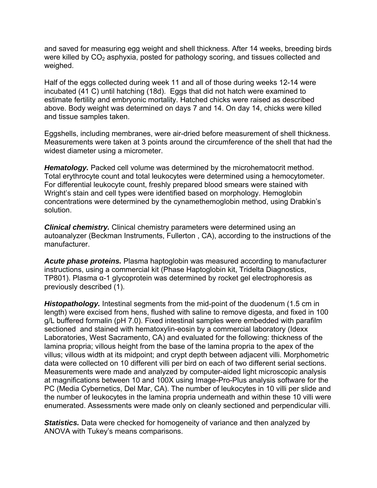and saved for measuring egg weight and shell thickness. After 14 weeks, breeding birds were killed by  $CO<sub>2</sub>$  asphyxia, posted for pathology scoring, and tissues collected and weighed.

Half of the eggs collected during week 11 and all of those during weeks 12-14 were incubated (41 C) until hatching (18d). Eggs that did not hatch were examined to estimate fertility and embryonic mortality. Hatched chicks were raised as described above. Body weight was determined on days 7 and 14. On day 14, chicks were killed and tissue samples taken.

Eggshells, including membranes, were air-dried before measurement of shell thickness. Measurements were taken at 3 points around the circumference of the shell that had the widest diameter using a micrometer.

*Hematology.* Packed cell volume was determined by the microhematocrit method. Total erythrocyte count and total leukocytes were determined using a hemocytometer. For differential leukocyte count, freshly prepared blood smears were stained with Wright's stain and cell types were identified based on morphology. Hemoglobin concentrations were determined by the cynamethemoglobin method, using Drabkin's solution.

*Clinical chemistry.* Clinical chemistry parameters were determined using an autoanalyzer (Beckman Instruments, Fullerton , CA), according to the instructions of the manufacturer.

*Acute phase proteins.* Plasma haptoglobin was measured according to manufacturer instructions, using a commercial kit (Phase Haptoglobin kit, Tridelta Diagnostics, TP801). Plasma α-1 glycoprotein was determined by rocket gel electrophoresis as previously described (1).

*Histopathology.* Intestinal segments from the mid-point of the duodenum (1.5 cm in length) were excised from hens, flushed with saline to remove digesta, and fixed in 100 g/L buffered formalin (pH 7.0). Fixed intestinal samples were embedded with parafilm sectioned and stained with hematoxylin-eosin by a commercial laboratory (Idexx Laboratories, West Sacramento, CA) and evaluated for the following: thickness of the lamina propria; villous height from the base of the lamina propria to the apex of the villus; villous width at its midpoint; and crypt depth between adjacent villi. Morphometric data were collected on 10 different villi per bird on each of two different serial sections. Measurements were made and analyzed by computer-aided light microscopic analysis at magnifications between 10 and 100X using Image-Pro-Plus analysis software for the PC (Media Cybernetics, Del Mar, CA). The number of leukocytes in 10 villi per slide and the number of leukocytes in the lamina propria underneath and within these 10 villi were enumerated. Assessments were made only on cleanly sectioned and perpendicular villi.

**Statistics.** Data were checked for homogeneity of variance and then analyzed by ANOVA with Tukey's means comparisons.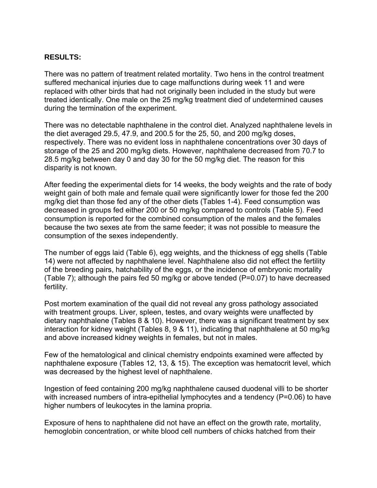### **RESULTS:**

There was no pattern of treatment related mortality. Two hens in the control treatment suffered mechanical injuries due to cage malfunctions during week 11 and were replaced with other birds that had not originally been included in the study but were treated identically. One male on the 25 mg/kg treatment died of undetermined causes during the termination of the experiment.

There was no detectable naphthalene in the control diet. Analyzed naphthalene levels in the diet averaged 29.5, 47.9, and 200.5 for the 25, 50, and 200 mg/kg doses, respectively. There was no evident loss in naphthalene concentrations over 30 days of storage of the 25 and 200 mg/kg diets. However, naphthalene decreased from 70.7 to 28.5 mg/kg between day 0 and day 30 for the 50 mg/kg diet. The reason for this disparity is not known.

After feeding the experimental diets for 14 weeks, the body weights and the rate of body weight gain of both male and female quail were significantly lower for those fed the 200 mg/kg diet than those fed any of the other diets (Tables 1-4). Feed consumption was decreased in groups fed either 200 or 50 mg/kg compared to controls (Table 5). Feed consumption is reported for the combined consumption of the males and the females because the two sexes ate from the same feeder; it was not possible to measure the consumption of the sexes independently.

The number of eggs laid (Table 6), egg weights, and the thickness of egg shells (Table 14) were not affected by naphthalene level. Naphthalene also did not effect the fertility of the breeding pairs, hatchability of the eggs, or the incidence of embryonic mortality (Table 7); although the pairs fed 50 mg/kg or above tended (P=0.07) to have decreased fertility.

Post mortem examination of the quail did not reveal any gross pathology associated with treatment groups. Liver, spleen, testes, and ovary weights were unaffected by dietary naphthalene (Tables 8 & 10). However, there was a significant treatment by sex interaction for kidney weight (Tables 8, 9 & 11), indicating that naphthalene at 50 mg/kg and above increased kidney weights in females, but not in males.

Few of the hematological and clinical chemistry endpoints examined were affected by naphthalene exposure (Tables 12, 13, & 15). The exception was hematocrit level, which was decreased by the highest level of naphthalene.

Ingestion of feed containing 200 mg/kg naphthalene caused duodenal villi to be shorter with increased numbers of intra-epithelial lymphocytes and a tendency (P=0.06) to have higher numbers of leukocytes in the lamina propria.

Exposure of hens to naphthalene did not have an effect on the growth rate, mortality, hemoglobin concentration, or white blood cell numbers of chicks hatched from their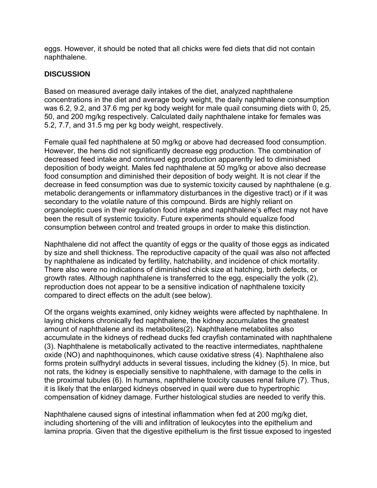eggs. However, it should be noted that all chicks were fed diets that did not contain naphthalene.

## **DISCUSSION**

Based on measured average daily intakes of the diet, analyzed naphthalene concentrations in the diet and average body weight, the daily naphthalene consumption was 6.2, 9.2, and 37.6 mg per kg body weight for male quail consuming diets with 0, 25, 50, and 200 mg/kg respectively. Calculated daily naphthalene intake for females was 5.2, 7.7, and 31.5 mg per kg body weight, respectively.

Female quail fed naphthalene at 50 mg/kg or above had decreased food consumption. However, the hens did not significantly decrease egg production. The combination of decreased feed intake and continued egg production apparently led to diminished deposition of body weight. Males fed naphthalene at 50 mg/kg or above also decrease food consumption and diminished their deposition of body weight. It is not clear if the decrease in feed consumption was due to systemic toxicity caused by naphthalene (e.g. metabolic derangements or inflammatory disturbances in the digestive tract) or if it was secondary to the volatile nature of this compound. Birds are highly reliant on organoleptic cues in their regulation food intake and naphthalene's effect may not have been the result of systemic toxicity. Future experiments should equalize food consumption between control and treated groups in order to make this distinction.

Naphthalene did not affect the quantity of eggs or the quality of those eggs as indicated by size and shell thickness. The reproductive capacity of the quail was also not affected by naphthalene as indicated by fertility, hatchability, and incidence of chick mortality. There also were no indications of diminished chick size at hatching, birth defects, or growth rates. Although naphthalene is transferred to the egg, especially the yolk (2), reproduction does not appear to be a sensitive indication of naphthalene toxicity compared to direct effects on the adult (see below).

Of the organs weights examined, only kidney weights were affected by naphthalene. In laying chickens chronically fed naphthalene, the kidney accumulates the greatest amount of naphthalene and its metabolites(2). Naphthalene metabolites also accumulate in the kidneys of redhead ducks fed crayfish contaminated with naphthalene (3). Naphthalene is metabolically activated to the reactive intermediates, naphthalene oxide (NO) and naphthoquinones, which cause oxidative stress (4). Naphthalene also forms protein sulfhydryl adducts in several tissues, including the kidney (5). In mice, but not rats, the kidney is especially sensitive to naphthalene, with damage to the cells in the proximal tubules (6). In humans, naphthalene toxicity causes renal failure (7). Thus, it is likely that the enlarged kidneys observed in quail were due to hypertrophic compensation of kidney damage. Further histological studies are needed to verify this.

Naphthalene caused signs of intestinal inflammation when fed at 200 mg/kg diet, including shortening of the villi and infiltration of leukocytes into the epithelium and lamina propria. Given that the digestive epithelium is the first tissue exposed to ingested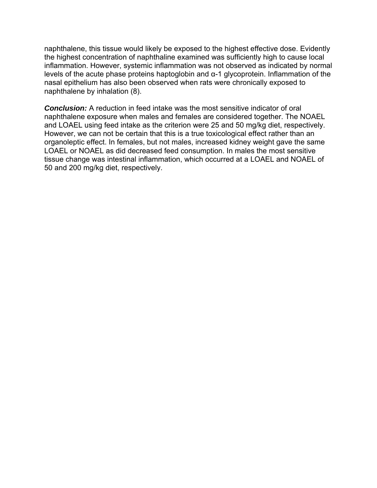naphthalene, this tissue would likely be exposed to the highest effective dose. Evidently the highest concentration of naphthaline examined was sufficiently high to cause local inflammation. However, systemic inflammation was not observed as indicated by normal levels of the acute phase proteins haptoglobin and α-1 glycoprotein. Inflammation of the nasal epithelium has also been observed when rats were chronically exposed to naphthalene by inhalation (8).

*Conclusion:* A reduction in feed intake was the most sensitive indicator of oral naphthalene exposure when males and females are considered together. The NOAEL and LOAEL using feed intake as the criterion were 25 and 50 mg/kg diet, respectively. However, we can not be certain that this is a true toxicological effect rather than an organoleptic effect. In females, but not males, increased kidney weight gave the same LOAEL or NOAEL as did decreased feed consumption. In males the most sensitive tissue change was intestinal inflammation, which occurred at a LOAEL and NOAEL of 50 and 200 mg/kg diet, respectively.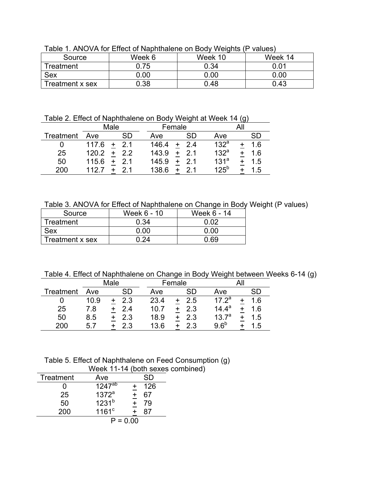|                 |        |         | .       |
|-----------------|--------|---------|---------|
| Source          | Week 6 | Week 10 | Week 14 |
| Treatment       | 0.75   | 0.34    | 0.01    |
| Sex             | 0.00   | 0.00    | 0.00    |
| Treatment x sex | 0.38   | 0.48    | 0.43    |

Table 1. ANOVA for Effect of Naphthalene on Body Weights (P values)

Table 2. Effect of Naphthalene on Body Weight at Week 14 (g)

|           | Male  |           |       | Female |                  |     |
|-----------|-------|-----------|-------|--------|------------------|-----|
| Treatment | Ave   | <b>SD</b> | Ave   | SD     | Ave              | SD  |
| O         | 117.6 | $+2.1$    | 146.4 | 2.4    | 132 <sup>a</sup> | 1.6 |
| 25        | 120.2 | 2.2       | 143.9 | 2.1    | 132 <sup>a</sup> | 1.6 |
| 50        | 115.6 | 21        | 145.9 | 21     | 131 <sup>a</sup> | 1.5 |
| 200       | 112.7 |           | 138.6 | 21     | $125^b$          | .5  |

Table 3. ANOVA for Effect of Naphthalene on Change in Body Weight (P values)

| Source          | Week 6 - 10 | Week 6 - 14 |
|-----------------|-------------|-------------|
| Treatment       | 0.34        | በ በ2        |
| Sex             | በ በበ        | ი იი        |
| Treatment x sex | -24         | በ 69        |

Table 4. Effect of Naphthalene on Change in Body Weight between Weeks 6-14 (g)

|                  |      | Male |      | Female |                   |     |
|------------------|------|------|------|--------|-------------------|-----|
| <b>Treatment</b> | Ave  | SD   | Ave  | SD     | Ave               | SD  |
|                  | 10.9 | 2.3  | 23.4 | 2.5    | $17.2^a$          | 1.6 |
| 25               | 7.8  | 2.4  | 10.7 | 2.3    | $14.4^a$          | 1.6 |
| 50               | 8.5  | 2.3  | 18.9 | 2.3    | 13.7 <sup>a</sup> | 1.5 |
| 200              | 5.7  | 2.3  | 13.6 | 2.3    | 9.6 <sup>b</sup>  | .5  |

Table 5. Effect of Naphthalene on Feed Consumption (g) Week 11-14 (both sexes combined)

| Treatment | Ave               | SD              |  |
|-----------|-------------------|-----------------|--|
|           | $1247^{ab}$       | 126<br>+        |  |
| 25        | 1372 <sup>a</sup> | 67<br>$\ddot{}$ |  |
| 50        | 1231 <sup>b</sup> | $\ddot{}$<br>79 |  |
| 200       | $1161^{\circ}$    | 87              |  |
|           | $P = 0.00$        |                 |  |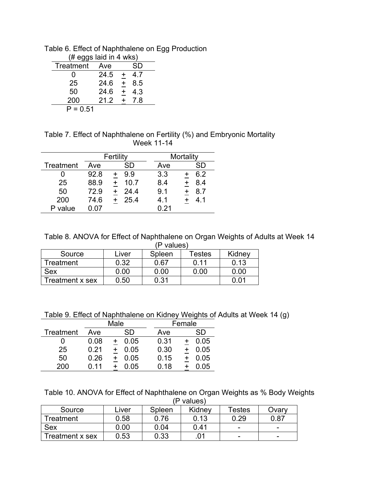Table 6. Effect of Naphthalene on Egg Production

| (# eggs laid in 4 wks) |      |                  |  |  |
|------------------------|------|------------------|--|--|
| Treatment              | Ave  | SD               |  |  |
| $\mathbf{0}$           | 24.5 | 47<br>$+$        |  |  |
| 25                     | 24.6 | $\ddot{}$<br>8.5 |  |  |
| 50                     | 24.6 | $\ddot{}$<br>4.3 |  |  |
| 200                    | 21.2 | 7.8              |  |  |
| $P = 0.51$             |      |                  |  |  |

Table 7. Effect of Naphthalene on Fertility (%) and Embryonic Mortality Week 11-14

|           |      | Fertility |      | Mortality |
|-----------|------|-----------|------|-----------|
| Treatment | Ave  | SD        | Ave  | SD        |
|           | 92.8 | 9.9       | 3.3  | 6.2       |
| 25        | 88.9 | 10.7      | 8.4  | 8.4       |
| 50        | 72.9 | 24.4      | 9.1  | 8.7       |
| 200       | 74.6 | 25.4      | 4.1  | 41        |
| value     | ი ი⁊ |           | 0.21 |           |

Table 8. ANOVA for Effect of Naphthalene on Organ Weights of Adults at Week 14

|                 |       | (P values) |        |        |
|-----------------|-------|------------|--------|--------|
| Source          | Liver | Spleen     | Testes | Kidney |
| Treatment       | 0.32  | 0.67       | 0.11   | 0.13   |
| <b>Sex</b>      | 0.00  | 0.00       | 0.00   | 0.00   |
| Treatment x sex | 0.50  | 0.31       |        | በ በ1   |

Table 9. Effect of Naphthalene on Kidney Weights of Adults at Week 14 (g)

|           | Male |      |      | Female |
|-----------|------|------|------|--------|
| Treatment | Ave  | SD   | Ave  | SD     |
|           | 0.08 | 0.05 | 0.31 | 0.05   |
| 25        | 0.21 | 0.05 | 0.30 | 0.05   |
| 50        | 0.26 | 0.05 | 0.15 | 0.05   |
| 200       | በ 11 | 0.05 | 0.18 | .05    |

Table 10. ANOVA for Effect of Naphthalene on Organ Weights as % Body Weights (P values)

|                 | valu <del>c</del> o) |        |        |                          |       |  |
|-----------------|----------------------|--------|--------|--------------------------|-------|--|
| Source          | Liver                | Spleen | Kidney | Testes                   | Ovarv |  |
| Treatment       | 0.58                 | 0.76   | 0.13   | 0.29                     | 0.87  |  |
| <b>Sex</b>      | 0.00                 | 0.04   | 0.41   | -                        | -     |  |
| Treatment x sex | 0.53                 | 0.33   | .01    | $\overline{\phantom{0}}$ | -     |  |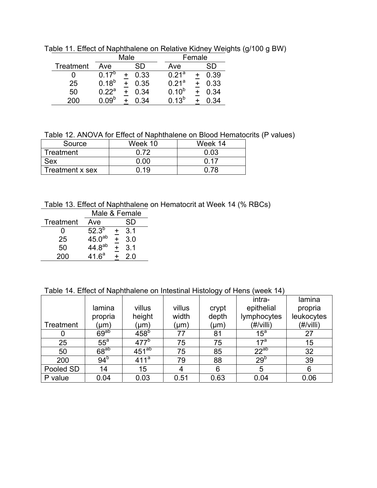|           | Male         |      |                   | Female |
|-----------|--------------|------|-------------------|--------|
| Treatment | Ave          | SD   | Ave               | SD     |
|           | $17^{\circ}$ | 0.33 | $0.21^{a}$        | 0.39   |
| 25        | $0.18^{b}$   | 0.35 | 0.21 <sup>a</sup> | 0.33   |
| 50        | $0.22^a$     | 0.34 | $0.10^{b}$        | 0.34   |
| 200       | ngb          | 34   | 13 <sup>b</sup>   |        |

Table 11. Effect of Naphthalene on Relative Kidney Weights (g/100 g BW)

Table 12. ANOVA for Effect of Naphthalene on Blood Hematocrits (P values)

| Source           | Week 10 | Week 14 |
|------------------|---------|---------|
| <b>Treatment</b> | በ 72    | 0.03    |
| Sex              | 0.00    | በ 17    |
| Treatment x sex  | በ 19    |         |

Table 13. Effect of Naphthalene on Hematocrit at Week 14 (% RBCs)

|                  | Male & Female      |   |     |  |
|------------------|--------------------|---|-----|--|
| <b>Treatment</b> | Ave                |   | SD  |  |
| 0                | $52.3^{b}$         |   | 3.1 |  |
| 25               | 45.0 <sup>ab</sup> |   | 3.0 |  |
| 50               | $44.8^{ab}$        | + | 3.1 |  |
| 200              | 41.6 <sup>a</sup>  |   | 2.0 |  |

Table 14. Effect of Naphthalene on Intestinal Histology of Hens (week 14)

|           |                  |                          |        |       | intra-          | lamina           |
|-----------|------------------|--------------------------|--------|-------|-----------------|------------------|
|           | lamina           | villus                   | villus | crypt | epithelial      | propria          |
|           | propria          | height                   | width  | depth | lymphocytes     | leukocytes       |
| Treatment | (µm)             | (µm)                     | (µm)   | (µm)  | (#/villi)       | $(\#/$ villi $)$ |
| U         | 69 <sup>ab</sup> | $\overline{458}^{\circ}$ | 77     | 81    | $15^a$          | 27               |
| 25        | $55^{\circ}$     | 477 <sup>b</sup>         | 75     | 75    | $17^a$          | 15               |
| 50        | $68^{ab}$        | $451^{ab}$               | 75     | 85    | $22^{ab}$       | 32               |
| 200       | 94 <sup>b</sup>  | 411 <sup>a</sup>         | 79     | 88    | 29 <sup>b</sup> | 39               |
| Pooled SD | 14               | 15                       | 4      | 6     | 5               | 6                |
| P value   | 0.04             | 0.03                     | 0.51   | 0.63  | 0.04            | 0.06             |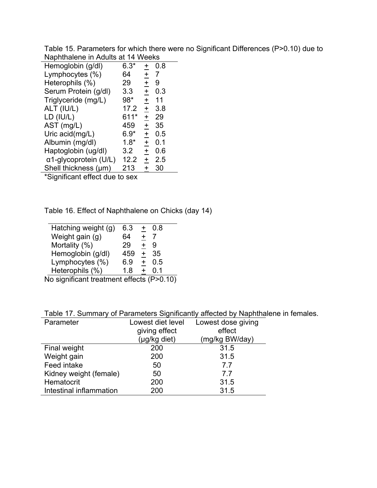Table 15. Parameters for which there were no Significant Differences (P>0.10) due to Naphthalene in Adults at 14 Weeks

| Hemoglobin (g/dl)             | $6.3*$ | $\ddag$    | 0.8 |
|-------------------------------|--------|------------|-----|
| Lymphocytes (%)               | 64     | $+$        | 7   |
| Heterophils (%)               | 29     | $\ddagger$ | 9   |
| Serum Protein (g/dl)          | 3.3    | $\ddag$    | 0.3 |
| Triglyceride (mg/L)           | 98*    | $\pm$      | 11  |
| ALT (IU/L)                    | 17.2   | $\pm$      | 3.8 |
| LD (IU/L)                     | 611*   | $\pm$      | 29  |
| AST (mg/L)                    | 459    | $\pm$      | 35  |
| Uric acid(mg/L)               | $6.9*$ | $\ddagger$ | 0.5 |
| Albumin (mg/dl)               | $1.8*$ | $\ddagger$ | 0.1 |
| Haptoglobin (ug/dl)           | 3.2    | $\ddagger$ | 0.6 |
| $\alpha$ 1-glycoprotein (U/L) | 12.2   | $\pm$      | 2.5 |
| Shell thickness (µm)          | 213    | +          | 30  |
|                               |        |            |     |

\*Significant effect due to sex

Table 16. Effect of Naphthalene on Chicks (day 14)

| Hatching weight (g) | 6.3 | $\ddot{}$ | 0.8    |  |
|---------------------|-----|-----------|--------|--|
| Weight gain (g)     | 64  | $\ddot{}$ |        |  |
| Mortality (%)       | 29  | $\ddot{}$ | 9      |  |
| Hemoglobin (g/dl)   | 459 | $\ddot{}$ | 35     |  |
| Lymphocytes (%)     | 6.9 | $\ddot{}$ | 0.5    |  |
| Heterophils (%)     | 1.8 |           | O 1    |  |
|                     | .   |           | $\sim$ |  |

No significant treatment effects (P>0.10)

|  |  |  |  |  |  | Table 17. Summary of Parameters Significantly affected by Naphthalene in females. |
|--|--|--|--|--|--|-----------------------------------------------------------------------------------|
|--|--|--|--|--|--|-----------------------------------------------------------------------------------|

|                         |                   | rabic Tr. Odminiary or Faramotors Olymnodity ancolou by Haphthaic |
|-------------------------|-------------------|-------------------------------------------------------------------|
| Parameter               | Lowest diet level | Lowest dose giving                                                |
|                         | giving effect     | effect                                                            |
|                         | (µg/kg diet)      | (mg/kg BW/day)                                                    |
| Final weight            | 200               | 31.5                                                              |
| Weight gain             | 200               | 31.5                                                              |
| Feed intake             | 50                | 77                                                                |
| Kidney weight (female)  | 50                | 77                                                                |
| Hematocrit              | 200               | 31.5                                                              |
| Intestinal inflammation | 200               | 31.5                                                              |
|                         |                   |                                                                   |